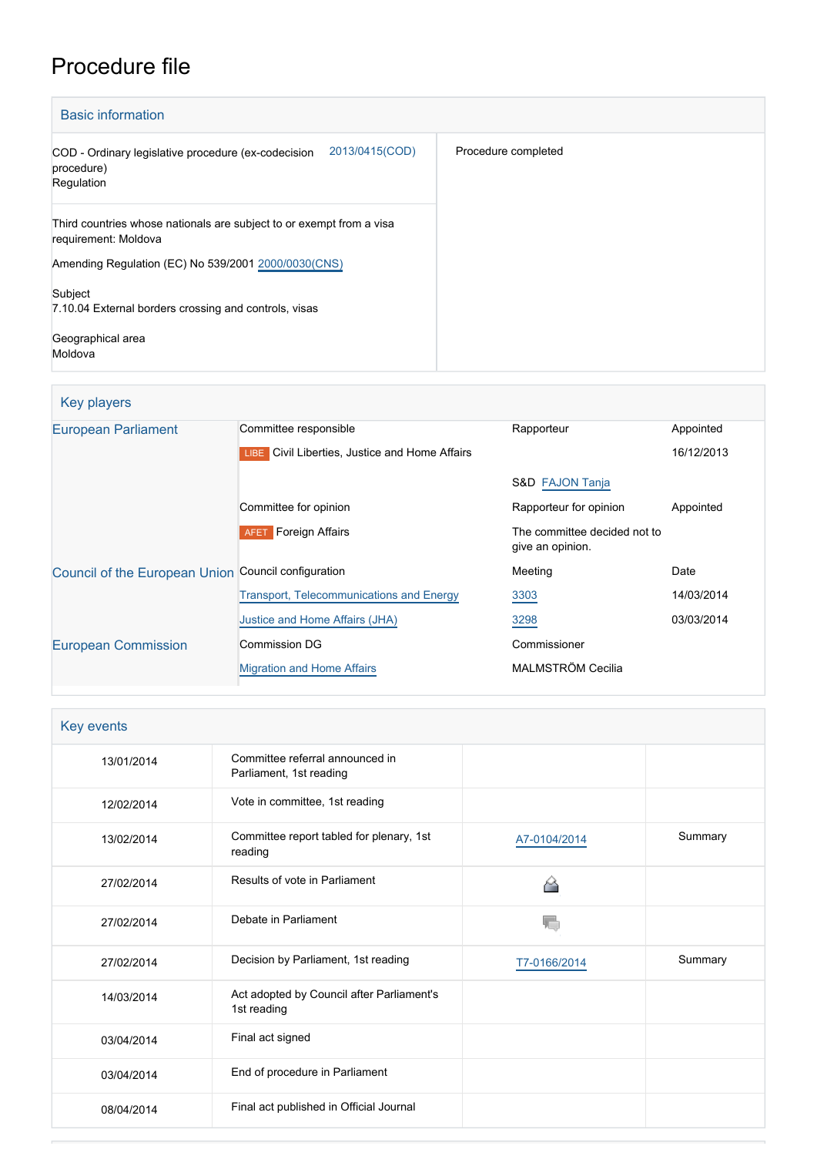# Procedure file

| <b>Basic information</b>                                                                          |                     |
|---------------------------------------------------------------------------------------------------|---------------------|
| 2013/0415(COD)<br>COD - Ordinary legislative procedure (ex-codecision<br>procedure)<br>Regulation | Procedure completed |
| Third countries whose nationals are subject to or exempt from a visa<br>requirement: Moldova      |                     |
| Amending Regulation (EC) No 539/2001 2000/0030(CNS)                                               |                     |
| Subject<br>7.10.04 External borders crossing and controls, visas                                  |                     |
| Geographical area<br>Moldova                                                                      |                     |

## Key players

| <b>European Parliament</b>                          | Committee responsible                                 | Rapporteur                                       | Appointed  |
|-----------------------------------------------------|-------------------------------------------------------|--------------------------------------------------|------------|
|                                                     | <b>LIBE</b> Civil Liberties, Justice and Home Affairs |                                                  | 16/12/2013 |
|                                                     |                                                       | S&D FAJON Tanja                                  |            |
|                                                     | Committee for opinion                                 | Rapporteur for opinion                           | Appointed  |
|                                                     | <b>Foreign Affairs</b><br><b>AFET</b>                 | The committee decided not to<br>give an opinion. |            |
| Council of the European Union Council configuration |                                                       | Meeting                                          | Date       |
|                                                     | <b>Transport, Telecommunications and Energy</b>       | 3303                                             | 14/03/2014 |
|                                                     | Justice and Home Affairs (JHA)                        | 3298                                             | 03/03/2014 |
| <b>European Commission</b>                          | Commission DG                                         | Commissioner                                     |            |
|                                                     | <b>Migration and Home Affairs</b>                     | MALMSTRÖM Cecilia                                |            |

| Key events |                                                            |              |         |  |
|------------|------------------------------------------------------------|--------------|---------|--|
| 13/01/2014 | Committee referral announced in<br>Parliament, 1st reading |              |         |  |
| 12/02/2014 | Vote in committee, 1st reading                             |              |         |  |
| 13/02/2014 | Committee report tabled for plenary, 1st<br>reading        | A7-0104/2014 | Summary |  |
| 27/02/2014 | Results of vote in Parliament                              |              |         |  |
| 27/02/2014 | Debate in Parliament                                       |              |         |  |
| 27/02/2014 | Decision by Parliament, 1st reading                        | T7-0166/2014 | Summary |  |
| 14/03/2014 | Act adopted by Council after Parliament's<br>1st reading   |              |         |  |
| 03/04/2014 | Final act signed                                           |              |         |  |
| 03/04/2014 | End of procedure in Parliament                             |              |         |  |
| 08/04/2014 | Final act published in Official Journal                    |              |         |  |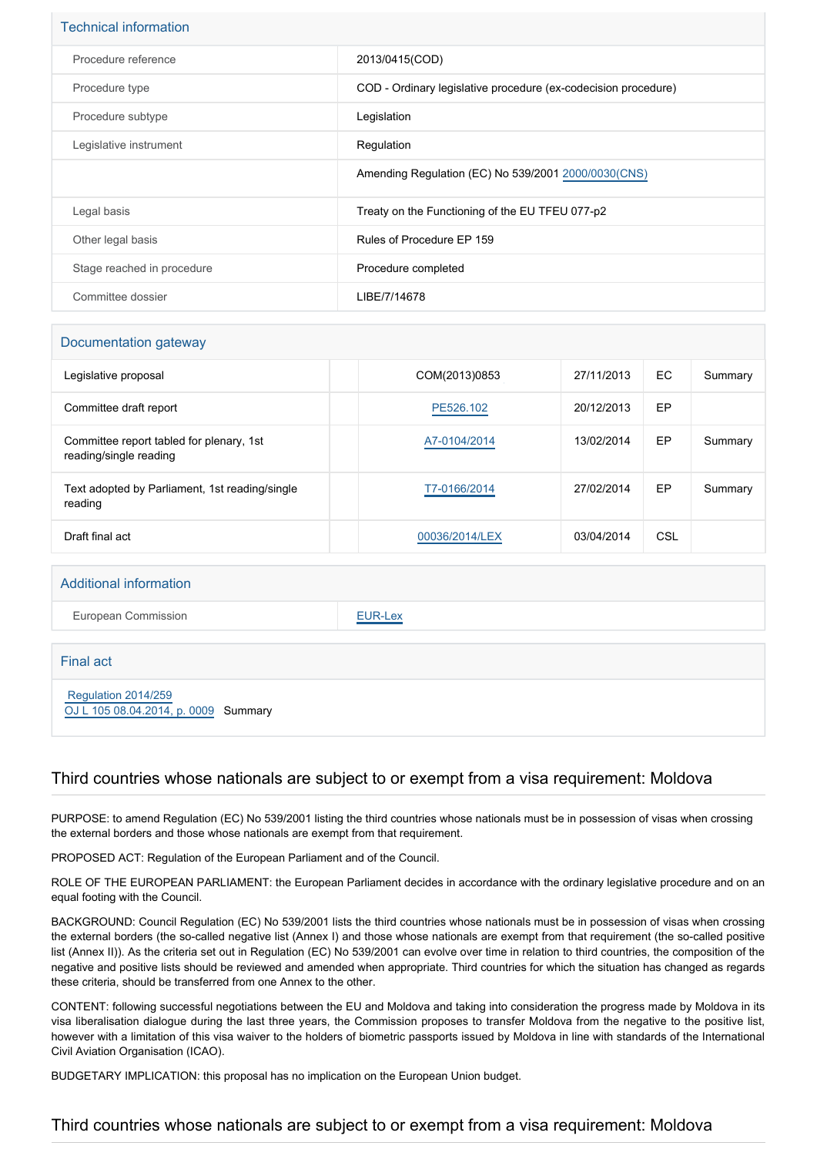| <b>Technical information</b> |                                                                |
|------------------------------|----------------------------------------------------------------|
| Procedure reference          | 2013/0415(COD)                                                 |
| Procedure type               | COD - Ordinary legislative procedure (ex-codecision procedure) |
| Procedure subtype            | Legislation                                                    |
| Legislative instrument       | Regulation                                                     |
|                              | Amending Regulation (EC) No 539/2001 2000/0030 (CNS)           |
| Legal basis                  | Treaty on the Functioning of the EU TFEU 077-p2                |
| Other legal basis            | Rules of Procedure EP 159                                      |
| Stage reached in procedure   | Procedure completed                                            |
| Committee dossier            | LIBE/7/14678                                                   |

## Documentation gateway

| Legislative proposal                                               | COM(2013)0853  | 27/11/2013 | EC  | Summary |
|--------------------------------------------------------------------|----------------|------------|-----|---------|
| Committee draft report                                             | PE526.102      | 20/12/2013 | EP  |         |
| Committee report tabled for plenary, 1st<br>reading/single reading | A7-0104/2014   | 13/02/2014 | EP  | Summary |
| Text adopted by Parliament, 1st reading/single<br>reading          | T7-0166/2014   | 27/02/2014 | EP  | Summary |
| Draft final act                                                    | 00036/2014/LEX | 03/04/2014 | CSL |         |

#### Additional information

European Commission **[EUR-Lex](http://ec.europa.eu/prelex/liste_resultats.cfm?CL=en&ReqId=0&DocType=COD&DocYear=2013&DocNum=0415)** 

Final act

 [Regulation 2014/259](https://eur-lex.europa.eu/smartapi/cgi/sga_doc?smartapi!celexplus!prod!CELEXnumdoc&lg=EN&numdoc=32014R0259) [OJ L 105 08.04.2014, p. 0009](https://eur-lex.europa.eu/legal-content/EN/TXT/?uri=OJ:L:2014:105:TOC) Summary

## Third countries whose nationals are subject to or exempt from a visa requirement: Moldova

PURPOSE: to amend Regulation (EC) No 539/2001 listing the third countries whose nationals must be in possession of visas when crossing the external borders and those whose nationals are exempt from that requirement.

PROPOSED ACT: Regulation of the European Parliament and of the Council.

ROLE OF THE EUROPEAN PARLIAMENT: the European Parliament decides in accordance with the ordinary legislative procedure and on an equal footing with the Council.

BACKGROUND: Council Regulation (EC) No 539/2001 lists the third countries whose nationals must be in possession of visas when crossing the external borders (the so-called negative list (Annex I) and those whose nationals are exempt from that requirement (the so-called positive list (Annex II)). As the criteria set out in Regulation (EC) No 539/2001 can evolve over time in relation to third countries, the composition of the negative and positive lists should be reviewed and amended when appropriate. Third countries for which the situation has changed as regards these criteria, should be transferred from one Annex to the other.

CONTENT: following successful negotiations between the EU and Moldova and taking into consideration the progress made by Moldova in its visa liberalisation dialogue during the last three years, the Commission proposes to transfer Moldova from the negative to the positive list, however with a limitation of this visa waiver to the holders of biometric passports issued by Moldova in line with standards of the International Civil Aviation Organisation (ICAO).

BUDGETARY IMPLICATION: this proposal has no implication on the European Union budget.

## Third countries whose nationals are subject to or exempt from a visa requirement: Moldova